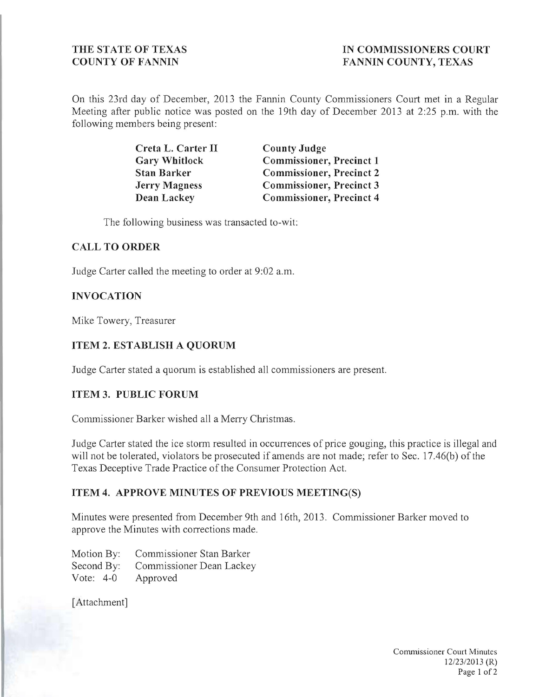# THE STATE OF TEXAS **IN COMMISSIONERS COURT COUNTY OF FANNIN FANNIN COUNTY, TEXAS**

On this 23rd day of December, 2013 the Fannin County Commissioners Court met in a Regular Meeting after public notice was posted on the 19th day of December 2013 at 2:25 p.m. with the following members being present:

| Creta L. Carter II   | <b>County Judge</b>             |
|----------------------|---------------------------------|
| <b>Gary Whitlock</b> | <b>Commissioner, Precinct 1</b> |
| <b>Stan Barker</b>   | <b>Commissioner, Precinct 2</b> |
| <b>Jerry Magness</b> | <b>Commissioner, Precinct 3</b> |
| <b>Dean Lackey</b>   | <b>Commissioner, Precinct 4</b> |

The following business was transacted to-wit:

#### **CALL TO ORDER**

Judge Carter called the meeting to order at 9:02 a.m.

## **INVOCATION**

Mike Towery, Treasurer

## **ITEM 2. ESTABLISH A QUORUM**

Judge Carter stated a quorum is established all commissioners are present.

## **ITEM 3. PUBLIC FORUM**

Commissioner Barker wished all a Merry Christmas.

Judge Carter stated the ice storm resulted in occurrences of price gouging, this practice is illegal and will not be tolerated, violators be prosecuted if amends are not made; refer to Sec. 17.46(b) of the Texas Deceptive Trade Practice of the Consumer Protection Act.

#### **ITEM 4. APPROVE MINUTES OF PREVIOUS MEETING(S)**

Minutes were presented from December 9th and 16th, 2013 . Commissioner Barker moved to approve the Minutes with corrections made.

Motion By: Commissioner Stan Barker Second By: Commissioner Dean Lackey Vote: 4-0 Approved

[Attachment]